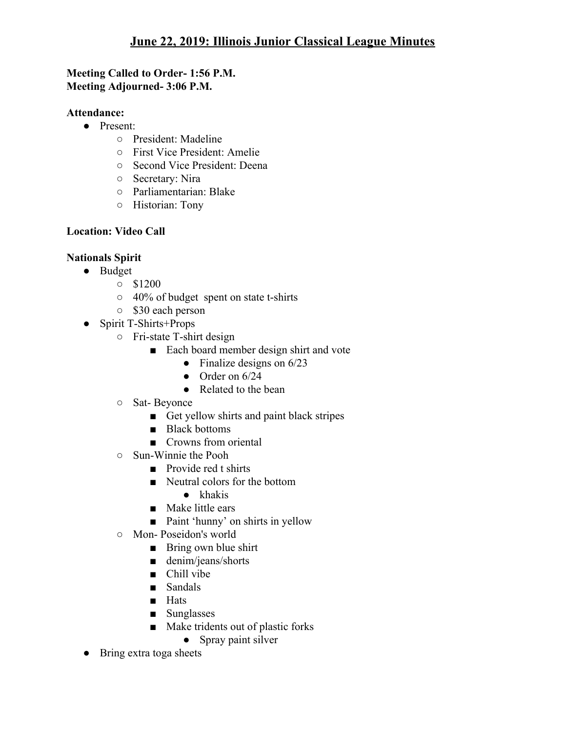## **Meeting Called to Order- 1:56 P.M. Meeting Adjourned- 3:06 P.M.**

#### **Attendance:**

- Present:
	- President: Madeline
	- First Vice President: Amelie
	- Second Vice President: Deena
	- Secretary: Nira
	- Parliamentarian: Blake
	- Historian: Tony

# **Location: Video Call**

# **Nationals Spirit**

- Budget
	- \$1200
	- 40% of budget spent on state t-shirts
	- \$30 each person
- Spirit T-Shirts+Props
	- Fri-state T-shirt design
		- Each board member design shirt and vote
			- $\bullet$  Finalize designs on 6/23
			- $\bullet$  Order on 6/24
			- Related to the bean
	- Sat- Beyonce
		- Get yellow shirts and paint black stripes
		- Black bottoms
		- Crowns from oriental
	- Sun-Winnie the Pooh
		- Provide red t shirts
		- Neutral colors for the bottom
			- khakis
		- Make little ears
		- Paint 'hunny' on shirts in yellow
	- Mon- Poseidon's world
		- Bring own blue shirt
		- denim/jeans/shorts
		- Chill vibe
		- Sandals
		- Hats
		- Sunglasses
		- Make tridents out of plastic forks
			- Spray paint silver
- Bring extra toga sheets